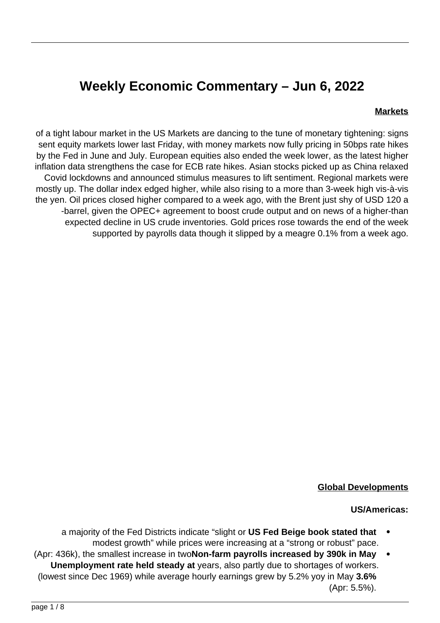# **Weekly Economic Commentary - Jun 6, 2022**

#### **Markets**

of a tight labour market in the US Markets are dancing to the tune of monetary tightening: signs sent equity markets lower last Friday, with money markets now fully pricing in 50 bps rate hikes by the Fed in June and July. European equities also ended the week lower, as the latest higher inflation data strengthens the case for ECB rate hikes. Asian stocks picked up as China relaxed Covid lockdowns and announced stimulus measures to lift sentiment. Regional markets were mostly up. The dollar index edged higher, while also rising to a more than 3-week high vis-à-vis the yen. Oil prices closed higher compared to a week ago, with the Brent just shy of USD 120 a -barrel, given the OPEC+ agreement to boost crude output and on news of a higher-than expected decline in US crude inventories. Gold prices rose towards the end of the week supported by payrolls data though it slipped by a meagre 0.1% from a week ago.



#### **Global Developments**

#### **US/Americas:**

- a maiority of the Fed Districts indicate "slight or **US Fed Beige book stated that** modest growth" while prices were increasing at a "strong or robust" pace.
- **(Apr: 436k), the smallest increase in two <b>Non-farm payrolls increased by 390k in May Unemployment rate held steady at** years, also partly due to shortages of workers. (lowest since Dec 1969) while average hourly earnings grew by 5.2% yoy in May 3.6%  $(Apr: 5.5\%)$ .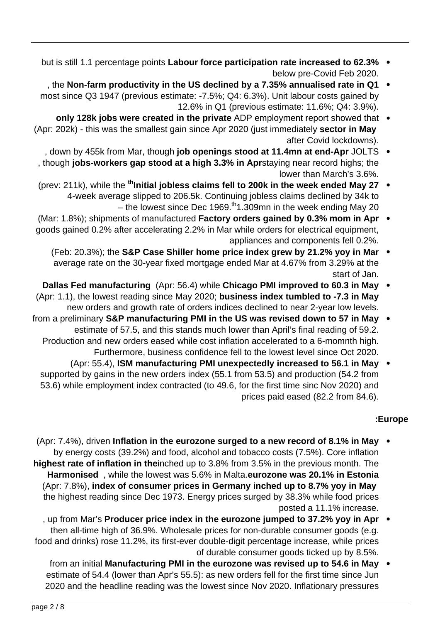- **but is still 1.1 percentage points Labour force participation rate increased to 62.3%** below pre-Covid Feb 2020.
- 1, the Non-farm productivity in the US declined by a 7.35% annualised rate in Q1 most since Q3 1947 (previous estimate: -7.5%; Q4: 6.3%). Unit labour costs gained by 12.6% in Q1 (previous estimate: 11.6%; Q4: 3.9%).
- **only 128k jobs were created in the private** ADP employment report showed that (Apr: 202k) - this was the smallest gain since Apr 2020 (just immediately **sector in May** after Covid lockdowns).
- , down by 455k from Mar, though job openings stood at 11.4mn at end-Apr JOLTS though jobs-workers gap stood at a high 3.3% in Aprstaying near record highs; the lower than March's 3.6%.
- (prev: 211k), while the <sup>th</sup> Initial jobless claims fell to 200k in the week ended May 27 4-week average slipped to 206.5k. Continuing jobless claims declined by 34k to  $-$  the lowest since Dec 1969.<sup>th</sup> 1.309mn in the week ending May 20
- **(Mar: 1.8%); shipments of manufactured Factory orders gained by 0.3% mom in Apr** goods gained 0.2% after accelerating 2.2% in Mar while orders for electrical equipment, appliances and components fell 0.2%.
	- **(Feb: 20.3%); the S&P Case Shiller home price index grew by 21.2% yoy in Mar** average rate on the 30-year fixed mortgage ended Mar at 4.67% from 3.29% at the start of Jan.
- **Dallas Fed manufacturing** (Apr: 56.4) while Chicago PMI improved to 60.3 in May (Apr: 1.1), the lowest reading since May 2020; **business index tumbled to -7.3 in May** new orders and growth rate of orders indices declined to near 2-year low levels.
- from a preliminary S&P manufacturing PMI in the US was revised down to 57 in May . estimate of 57.5, and this stands much lower than April's final reading of 59.2. Production and new orders eased while cost inflation accelerated to a 6-momnth high. Furthermore, business confidence fell to the lowest level since Oct 2020.
	- (Apr: 55.4), **ISM** manufacturing PMI unexpectedly increased to 56.1 in May supported by gains in the new orders index (55.1 from 53.5) and production (54.2 from 53.6) while employment index contracted (to 49.6, for the first time sinc Nov 2020) and prices paid eased (82.2 from 84.6).

# **Europe:**

- **Apr: 7.4%), driven Inflation in the eurozone surged to a new record of 8.1% in May** by energy costs (39.2%) and food, alcohol and tobacco costs (7.5%). Core inflation highest rate of inflation in theinched up to 3.8% from 3.5% in the previous month. The **Harmonised**. while the lowest was 5.6% in Malta eurozone was 20.1% in Estonia (Apr: 7.8%), index of consumer prices in Germany inched up to 8.7% yoy in May the highest reading since Dec 1973. Energy prices surged by 38.3% while food prices posted a 11.1% increase.
- , up from Mar's Producer price index in the eurozone jumped to 37.2% yoy in Apr then all-time high of 36.9%. Wholesale prices for non-durable consumer goods (e.g. food and drinks) rose 11.2%, its first-ever double-digit percentage increase, while prices of durable consumer goods ticked up by 8.5%.
	- from an initial Manufacturing PMI in the eurozone was revised up to 54.6 in May estimate of 54.4 (lower than Apr's 55.5): as new orders fell for the first time since Jun 2020 and the headline reading was the lowest since Nov 2020. Inflationary pressures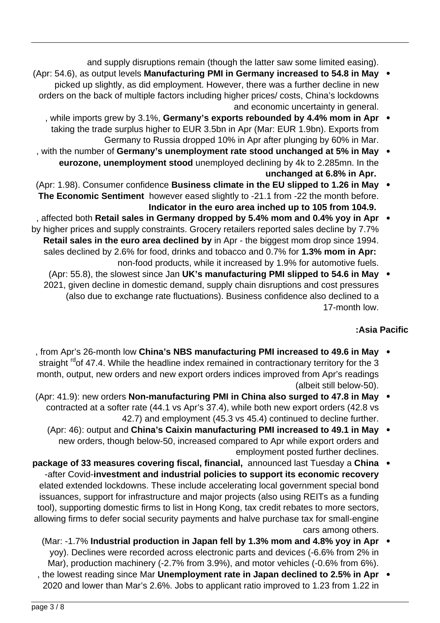and supply disruptions remain (though the latter saw some limited easing).

- (Apr: 54.6), as output levels Manufacturing PMI in Germany increased to 54.8 in May picked up slightly, as did employment. However, there was a further decline in new orders on the back of multiple factors including higher prices/ costs, China's lockdowns and economic uncertainty in general.
	- , while imports grew by 3.1%, Germany's exports rebounded by 4.4% mom in Apr taking the trade surplus higher to EUR 3.5bn in Apr (Mar: EUR 1.9bn). Exports from Germany to Russia dropped 10% in Apr after plunging by 60% in Mar.
- with the number of Germany's unemployment rate stood unchanged at 5% in May eurozone, unemployment stood unemployed declining by 4k to 2.285mn. In the **unchanged** at 6.8% in Apr.
- (Apr: 1.98). Consumer confidence Business climate in the EU slipped to 1.26 in May . The Economic Sentiment however eased slightly to -21.1 from -22 the month before. Indicator in the euro area inched up to 105 from 104.9.
- , affected both Retail sales in Germany dropped by 5.4% mom and 0.4% yoy in Apr by higher prices and supply constraints. Grocery retailers reported sales decline by 7.7% Retail sales in the euro area declined by in Apr - the biggest mom drop since 1994. sales declined by 2.6% for food, drinks and tobacco and 0.7% for 1.3% mom in Apr: non-food products, while it increased by 1.9% for automotive fuels.
	- (Apr: 55.8), the slowest since Jan **UK's manufacturing PMI slipped to 54.6 in May** 2021, given decline in domestic demand, supply chain disruptions and cost pressures (also due to exchange rate fluctuations). Business confidence also declined to a 17-month low.

# **Pacific Asia:**

- **from Apr's 26-month low China's NBS manufacturing PMI increased to 49.6 in May** straight  $rdot$  47.4. While the headline index remained in contractionary territory for the 3 month, output, new orders and new export orders indices improved from Apr's readings (albeit still below-50).
- (Apr: 41.9): new orders Non-manufacturing PMI in China also surged to 47.8 in May contracted at a softer rate (44.1 vs Apr's 37.4), while both new export orders (42.8 vs 42.7) and employment (45.3 vs 45.4) continued to decline further.
	- (Apr: 46): output and China's Caixin manufacturing PMI increased to 49.1 in May new orders, though below-50, increased compared to Apr while export orders and employment posted further declines.
- package of 33 measures covering fiscal, financial, announced last Tuesday a China **-after Covid-investment and industrial policies to support its economic recovery** elated extended lockdowns. These include accelerating local government special bond issuances, support for infrastructure and major projects (also using REITs as a funding tool), supporting domestic firms to list in Hong Kong, tax credit rebates to more sectors, allowing firms to defer social security payments and halve purchase tax for small-engine cars among others.
	- (Mar: -1.7% Industrial production in Japan fell by 1.3% mom and 4.8% yoy in Apr  $\bullet$ yoy). Declines were recorded across electronic parts and devices (-6.6% from 2% in Mar), production machinery (-2.7% from 3.9%), and motor vehicles (-0.6% from 6%).
	- , the lowest reading since Mar Unemployment rate in Japan declined to 2.5% in Apr 2020 and lower than Mar's 2.6%. Jobs to applicant ratio improved to 1.23 from 1.22 in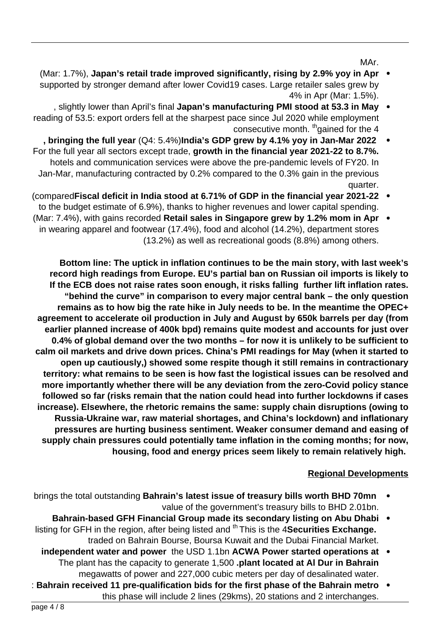MAr.

- **Mar: 1.7%), Japan's retail trade improved significantly, rising by 2.9% yoy in Apr** supported by stronger demand after lower Covid 19 cases. Large retailer sales grew by 4% in Apr (Mar: 1.5%).
- , slightly lower than April's final Japan's manufacturing PMI stood at 53.3 in May reading of 53.5: export orders fell at the sharpest pace since Jul 2020 while employment consecutive month. <sup>th</sup>gained for the 4
- , bringing the full year (Q4: 5.4%)India's GDP grew by 4.1% yoy in Jan-Mar 2022 For the full year all sectors except trade, growth in the financial year 2021-22 to 8.7%. hotels and communication services were above the pre-pandemic levels of FY20. In Jan-Mar, manufacturing contracted by 0.2% compared to the 0.3% gain in the previous .quarter
- **2021-22 (comparedFiscal deficit in India stood at 6.71% of GDP in the financial year 2021-22** to the budget estimate of 6.9%), thanks to higher revenues and lower capital spending.
- **(Mar: 7.4%), with gains recorded Retail sales in Singapore grew by 1.2% mom in Apr** in wearing apparel and footwear (17.4%), food and alcohol (14.2%), department stores  $(13.2\%)$  as well as recreational goods  $(8.8\%)$  among others.

Bottom line: The uptick in inflation continues to be the main story, with last week's record high readings from Europe. EU's partial ban on Russian oil imports is likely to If the ECB does not raise rates soon enough, it risks falling further lift inflation rates. "behind the curve" in comparison to every major central bank – the only question remains as to how big the rate hike in July needs to be. In the meantime the OPEC+ agreement to accelerate oil production in July and August by 650k barrels per day (from earlier planned increase of 400k bpd) remains quite modest and accounts for just over 0.4% of global demand over the two months – for now it is unlikely to be sufficient to to started to started to started to started to started to calm oil markets and drive down prices. China's PMI readings for May (when it started to **contractionary in remains in contractionary open up cautiously, showed some respite though it still remains in contractionary** territory: what remains to be seen is how fast the logistical issues can be resolved and more importantly whether there will be any deviation from the zero-Covid policy stance followed so far (risks remain that the nation could head into further lockdowns if cases increase). Elsewhere, the rhetoric remains the same: supply chain disruptions (owing to Russia-Ukraine war, raw material shortages, and China's lockdown) and inflationary pressures are hurting business sentiment. Weaker consumer demand and easing of supply chain pressures could potentially tame inflation in the coming months; for now, housing, food and energy prices seem likely to remain relatively high.

### **Regional Developments**

- brings the total outstanding Bahrain's latest issue of treasury bills worth BHD 70mn value of the government's treasury bills to BHD 2.01bn.
- **Bahrain-based GFH Financial Group made its secondary listing on Abu Dhabi** . listing for GFH in the region, after being listed and <sup>th</sup> This is the 4 **Securities Exchange.** traded on Bahrain Bourse, Boursa Kuwait and the Dubai Financial Market.
	- **independent water and power** the USD 1.1bn ACWA Power started operations at The plant has the capacity to generate 1,500 plant located at Al Dur in Bahrain megawatts of power and 227,000 cubic meters per day of desalinated water.
- **: Bahrain received 11 pre-qualification bids for the first phase of the Bahrain metro** this phase will include 2 lines (29kms), 20 stations and 2 interchanges.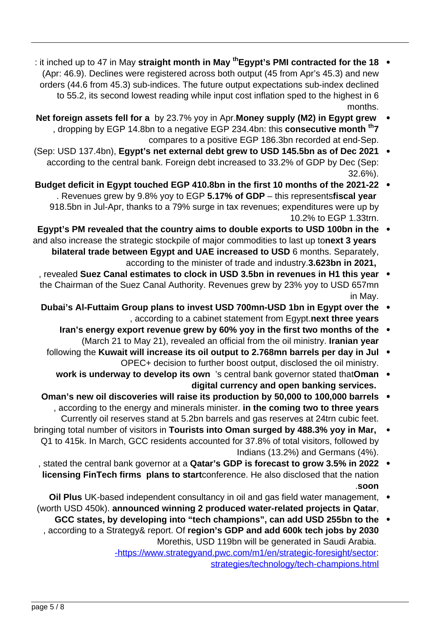- **: it inched up to 47 in May straight month in May <sup>th</sup>Egypt's PMI contracted for the 18** (Apr: 46.9). Declines were registered across both output (45 from Apr's 45.3) and new orders (44.6 from 45.3) sub-indices. The future output expectations sub-index declined to 55.2, its second lowest reading while input cost inflation sped to the highest in 6 .months
- **Net foreign assets fell for a** by 23.7% yoy in Apr. Money supply (M2) in Egypt grew , dropping by EGP 14.8bn to a negative EGP 234.4bn: this **consecutive month** <sup>th</sup>7 compares to a positive EGP 186.3bn recorded at end-Sep.
- (Sep: USD 137.4bn), Egypt's net external debt grew to USD 145.5 bn as of Dec 2021 according to the central bank. Foreign debt increased to 33.2% of GDP by Dec (Sep: .(32.6%
- Budget deficit in Egypt touched EGP 410.8bn in the first 10 months of the 2021-22 **Revenues grew by 9.8% yoy to EGP 5.17% of GDP – this representsfiscal year** 918.5bn in Jul-Apr, thanks to a 79% surge in tax revenues; expenditures were up by 10.2% to FGP 1.33trn.
- Egypt's PM revealed that the country aims to double exports to USD 100bn in the  $\bullet$ and also increase the strategic stockpile of major commodities to last up tonext 3 years bilateral trade between Egypt and UAE increased to USD 6 months. Separately, according to the minister of trade and industry 3.623bn in 2021,
	- , revealed Suez Canal estimates to clock in USD 3.5bn in revenues in H1 this year the Chairman of the Suez Canal Authority. Revenues grew by 23% yoy to USD 657mn in May.
	- **Dubai's Al-Futtaim Group plans to invest USD 700mn-USD 1bn in Egypt over the** , according to a cabinet statement from Egypt.next three years
		- Iran's energy export revenue grew by 60% yoy in the first two months of the  $\bullet$ (March 21 to May 21), revealed an official from the oil ministry. Iranian year
		- following the Kuwait will increase its oil output to 2.768mn barrels per day in Jul . OPEC+ decision to further boost output, disclosed the oil ministry.
			- work is underway to develop its own 's central bank governor stated thatOman digital currency and open banking services.
	- **barrels** 0man's new oil discoveries will raise its production by 50,000 to 100,000 barrels , according to the energy and minerals minister. in the coming two to three years Currently oil reserves stand at 5.2 bn barrels and gas reserves at 24trn cubic feet.
- bringing total number of visitors in Tourists into Oman surged by 488.3% yoy in Mar, Q1 to 415k. In March, GCC residents accounted for 37.8% of total visitors, followed by Indians  $(13.2%)$  and Germans  $(4%)$ .
	- , stated the central bank governor at a **Qatar's GDP is forecast to grow 3.5% in 2022** licensing FinTech firms plans to startconference. He also disclosed that the nation **soon**.
- Oil Plus UK-based independent consultancy in oil and gas field water management, (worth USD 450k). announced winning 2 produced water-related projects in Qatar,
- GCC states, by developing into "tech champions", can add USD 255bn to the , according to a Strategy & report. Of region's GDP and add 600k tech jobs by 2030 Morethis, USD 119bn will be generated in Saudi Arabia. -https://www.strategyand.pwc.com/m1/en/strategic-foresight/sector: strategies/technology/tech-champions.html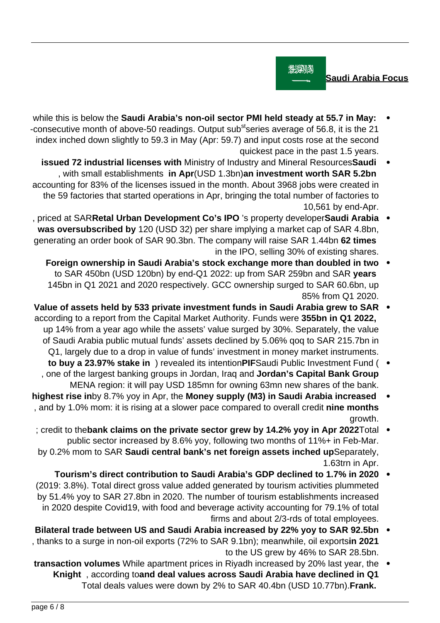

**Saudi Arabia Focus** 

- while this is below the Saudi Arabia's non-oil sector PMI held steady at 55.7 in May: -consecutive month of above-50 readings. Output sub<sup>st</sup>series average of 56.8, it is the 21 index inched down slightly to 59.3 in May (Apr: 59.7) and input costs rose at the second quickest pace in the past 1.5 years.
- **issued 72 industrial licenses with Ministry of Industry and Mineral ResourcesSaudi** , with small establishments in Apr(USD 1.3bn)an investment worth SAR 5.2bn accounting for 83% of the licenses issued in the month. About 3968 jobs were created in the 59 factories that started operations in Apr, bringing the total number of factories to 10,561 by end-Apr.
- , priced at SARRetal Urban Development Co's IPO 's property developerSaudi Arabia was oversubscribed by 120 (USD 32) per share implying a market cap of SAR 4.8bn, generating an order book of SAR 90.3bn. The company will raise SAR 1.44bn 62 times in the IPO, selling 30% of existing shares.
	- **Foreign ownership in Saudi Arabia's stock exchange more than doubled in two** to SAR 450bn (USD 120bn) by end-Q1 2022: up from SAR 259bn and SAR years 145bn in Q1 2021 and 2020 respectively. GCC ownership surged to SAR 60.6bn, up 85% from Q1 2020.
- Value of assets held by 533 private investment funds in Saudi Arabia grew to SAR according to a report from the Capital Market Authority. Funds were 355bn in Q1 2022, up 14% from a year ago while the assets' value surged by 30%. Separately, the value of Saudi Arabia public mutual funds' assets declined by 5.06% gog to SAR 215.7bn in Q1, largely due to a drop in value of funds' investment in money market instruments.
	- **to buy a 23.97% stake in** ) revealed its intention PIFS audi Public Investment Fund ( , one of the largest banking groups in Jordan, Iraq and Jordan's Capital Bank Group MENA region: it will pay USD 185mn for owning 63mn new shares of the bank.
- **highest rise in**by 8.7% yoy in Apr, the Money supply (M3) in Saudi Arabia increased , and by 1.0% mom: it is rising at a slower pace compared to overall credit nine months arowth.
- ; credit to the bank claims on the private sector grew by 14.2% yoy in Apr 2022 Total public sector increased by 8.6% yoy, following two months of 11%+ in Feb-Mar. by 0.2% mom to SAR Saudi central bank's net foreign assets inched upSeparately, 1.63trn in Apr.
- **700 Tourism's direct contribution to Saudi Arabia's GDP declined to 1.7% in 2020**  $\bullet$ (2019: 3.8%). Total direct gross value added generated by tourism activities plummeted by 51.4% yoy to SAR 27.8 bn in 2020. The number of tourism establishments increased in 2020 despite Covid19, with food and beverage activity accounting for 79.1% of total firms and about 2/3-rds of total employees.
- **Bilateral trade between US and Saudi Arabia increased by 22% yoy to SAR 92.5bn** , thanks to a surge in non-oil exports (72% to SAR 9.1bn); meanwhile, oil exportsin 2021 to the US grew by 46% to SAR 28.5 bn.
- transaction volumes While apartment prices in Riyadh increased by 20% last year, the **Knight**, according toand deal values across Saudi Arabia have declined in Q1 Total deals values were down by 2% to SAR 40.4bn (USD 10.77bn). Frank.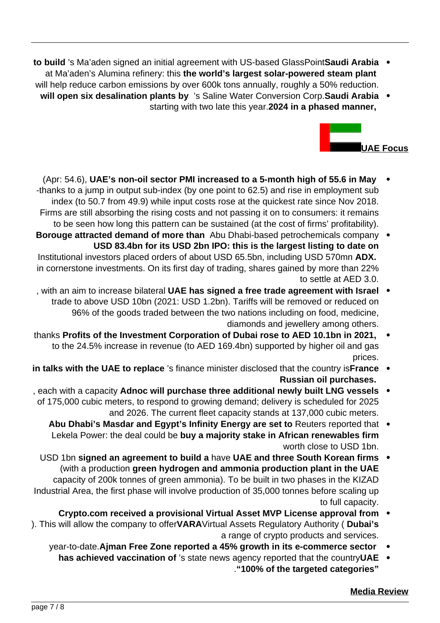- **to build** 's Ma'aden signed an initial agreement with US-based GlassPointSaudi Arabia . at Ma'aden's Alumina refinery: this the world's largest solar-powered steam plant will help reduce carbon emissions by over 600k tons annually, roughly a 50% reduction.
- **Arabia Saudi Arabia Saudi Arabia Saudi Arabia is Saline Water Conversion Corp Saudi Arabia** starting with two late this year 2024 in a phased manner,



- **(Apr: 54.6), UAE's non-oil sector PMI increased to a 5-month high of 55.6 in May** -thanks to a jump in output sub-index (by one point to 62.5) and rise in employment sub index (to 50.7 from 49.9) while input costs rose at the quickest rate since Nov 2018. Firms are still absorbing the rising costs and not passing it on to consumers: it remains to be seen how long this pattern can be sustained (at the cost of firms' profitability).
- **Borouge attracted demand of more than** Abu Dhabi-based petrochemicals company **USD 83.4bn for its USD 2bn IPO: this is the largest listing to date on** Institutional investors placed orders of about USD 65.5bn, including USD 570mn ADX. in cornerstone investments. On its first day of trading, shares gained by more than 22% to settle at AED 3.0.
- It with an aim to increase bilateral UAE has signed a free trade agreement with Israel trade to above USD 10bn (2021: USD 1.2bn). Tariffs will be removed or reduced on 96% of the goods traded between the two nations including on food, medicine, diamonds and iewellery among others.
- thanks Profits of the Investment Corporation of Dubai rose to AED 10.1bn in 2021, to the 24.5% increase in revenue (to AED 169.4bn) supported by higher oil and gas prices.
- in talks with the UAE to replace 's finance minister disclosed that the country is France . **Russian oil purchases.**
- **each with a capacity Adnoc will purchase three additional newly built LNG vessels** of 175,000 cubic meters, to respond to growing demand; delivery is scheduled for 2025 and 2026. The current fleet capacity stands at 137,000 cubic meters.
	- Abu Dhabi's Masdar and Egypt's Infinity Energy are set to Reuters reported that . Lekela Power: the deal could be buy a majority stake in African renewables firm worth close to USD 1bn.
- **firms in South South Korean South Korean South Korean firms** (with a production green hydrogen and ammonia production plant in the UAE capacity of 200k tonnes of green ammonia). To be built in two phases in the KIZAD Industrial Area, the first phase will involve production of 35,000 tonnes before scaling up to full capacity.
- *Crypto.com received a provisional Virtual Asset MVP License approval from* ). This will allow the company to offer**VARA**Virtual Assets Regulatory Authority ( Dubai's a range of crypto products and services.
	- year-to-date. Ajman Free Zone reported a 45% growth in its e-commerce sector
	- has achieved vaccination of 's state news agency reported that the country UAE **"categories targeted the of 100%"**.

### **Media Review**